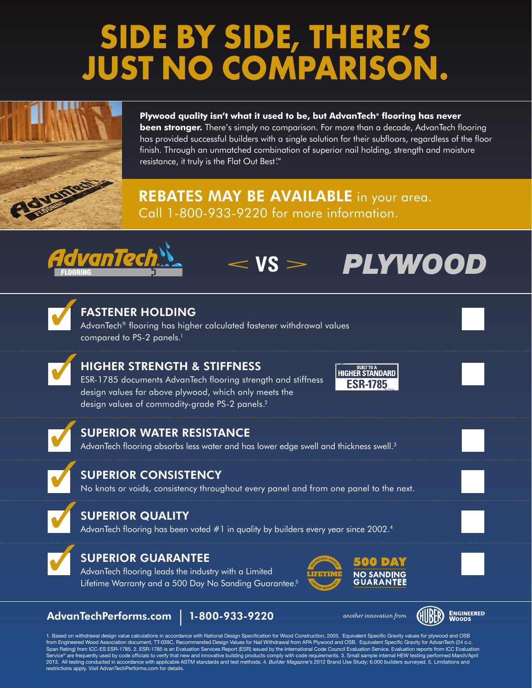# **SIDE BY SIDE, THERE'S JUST NO COMPARISON.**



**Plywood quality isn't what it used to be, but AdvanTech® flooring has never been stronger.** There's simply no comparison. For more than a decade, AdvanTech flooring has provided successful builders with a single solution for their subfloors, regardless of the floor finish. Through an unmatched combination of superior nail holding, strength and moisture resistance, it truly is the Flat Out Best™.

## **REBATES MAY BE AVAILABLE** in your area. Call 1-800-933-9220 for more information.





3

### FASTENER HOLDING

AdvanTech® flooring has higher calculated fastener withdrawal values compared to PS-2 panels.<sup>1</sup>



ESR-1785 documents AdvanTech flooring strength and stiffness design values far above plywood, which only meets the design values of commodity-grade PS-2 panels.<sup>2</sup>



vs > **PLYWOOD** 



### SUPERIOR WATER RESISTANCE

AdvanTech flooring absorbs less water and has lower edge swell and thickness swell.<sup>3</sup>

### SUPERIOR CONSISTENCY

No knots or voids, consistency throughout every panel and from one panel to the next.



7

### SUPERIOR QUALITY

AdvanTech flooring has been voted #1 in quality by builders every year since 2002.<sup>4</sup>



### SUPERIOR GUARANTEE

AdvanTech flooring leads the industry with a Limited Lifetime Warranty and a 500 Day No Sanding Guarantee.<sup>5</sup>



### AdvanTechPerforms.com | 1-800-933-9220

another innovation from



1. Based on withdrawal design value calculations in accordance with National Design Specification for Wood Construction, 2005. Equivalent Specific Gravity values for plywood and OSB from Engineered Wood Association document, TT-039C, Recommended Design Values for Nail Withdrawal from APA Plywood and OSB. Equivalent Specific Gravity for AdvanTech (24 o.c. Span Rating) from ICC-ES ESR-1785. 2. ESR-1785 is an Evaluation Services Report (ESR) issued by the International Code Council Evaluation Service. Evaluation reports from ICC Evaluation rvice® are frequently used by code officials to verify that new and innovative building products comply with code requirements. 3. Small sample internal HEW testing performed March/April 2013. All testing conducted in accordance with applicable ASTM standards and test methods. 4. *Builder Magazine*'s 2012 Brand Use Study; 6,000 builders surveyed. 5. Limitations and restrictions apply. Visit AdvanTechPerforms.com for details.